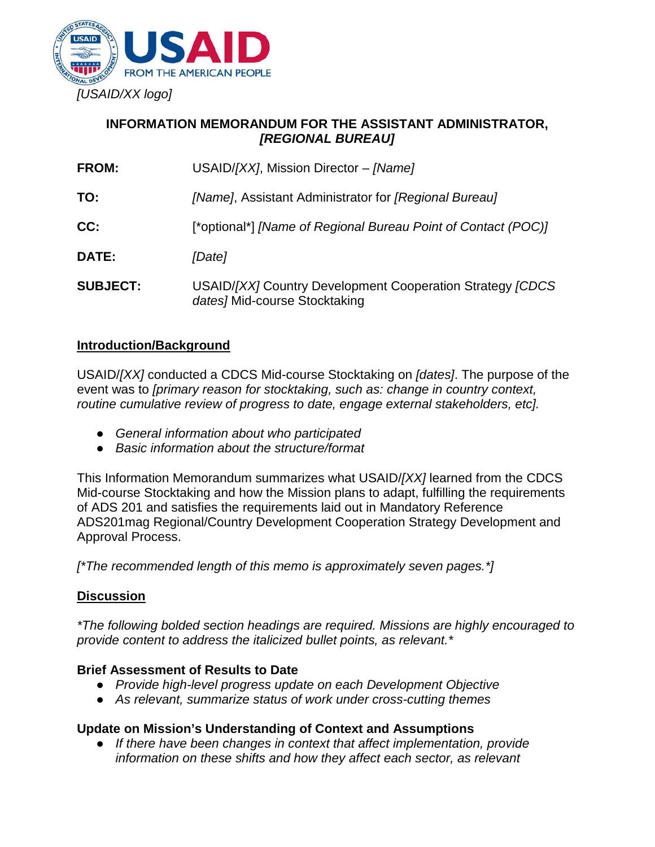

# **INFORMATION MEMORANDUM FOR THE ASSISTANT ADMINISTRATOR,**  *[REGIONAL BUREAU]*

| <b>FROM:</b>    | USAID/ $[XX]$ , Mission Director - $[Name]$                                                 |
|-----------------|---------------------------------------------------------------------------------------------|
| TO:             | [Name], Assistant Administrator for [Regional Bureau]                                       |
| CC:             | [*optional*] [Name of Regional Bureau Point of Contact (POC)]                               |
| DATE:           | [Date]                                                                                      |
| <b>SUBJECT:</b> | USAID/[XX] Country Development Cooperation Strategy [CDCS]<br>dates] Mid-course Stocktaking |

## **Introduction/Background**

USAID/*[XX]* conducted a CDCS Mid-course Stocktaking on *[dates]*. The purpose of the event was to *[primary reason for stocktaking, such as: change in country context, routine cumulative review of progress to date, engage external stakeholders, etc].* 

- *General information about who participated*
- *Basic information about the structure/format*

This Information Memorandum summarizes what USAID/*[XX]* learned from the CDCS Mid-course Stocktaking and how the Mission plans to adapt, fulfilling the requirements of ADS 201 and satisfies the requirements laid out in Mandatory Reference ADS201mag Regional/Country Development Cooperation Strategy Development and Approval Process.

*[\*The recommended length of this memo is approximately seven pages.\*]* 

#### **Discussion**

*\*The following bolded section headings are required. Missions are highly encouraged to provide content to address the italicized bullet points, as relevant.\** 

#### **Brief Assessment of Results to Date**

- *Provide high-level progress update on each Development Objective*
- *As relevant, summarize status of work under cross-cutting themes*

#### **Update on Mission's Understanding of Context and Assumptions**

● *If there have been changes in context that affect implementation, provide information on these shifts and how they affect each sector, as relevant*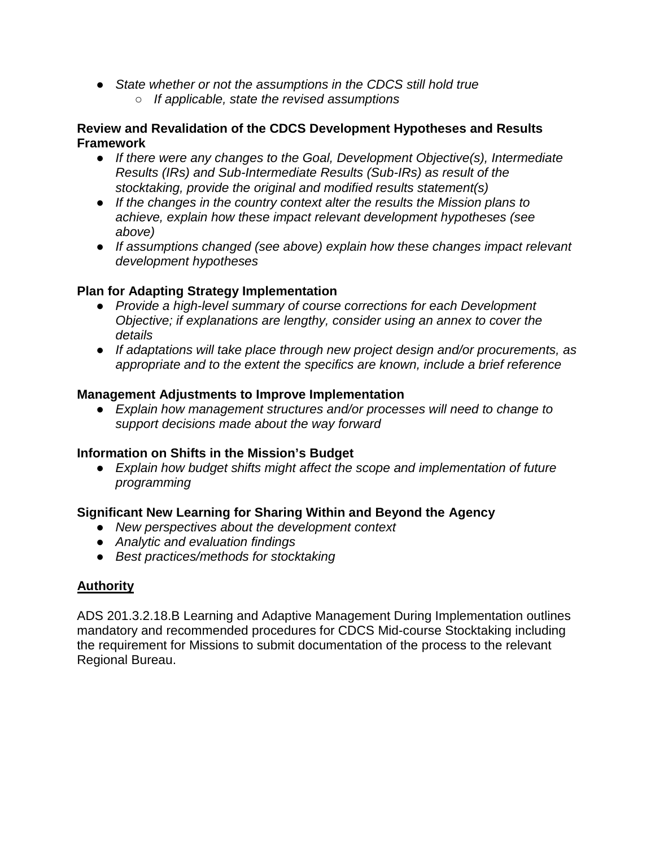- *State whether or not the assumptions in the CDCS still hold true*
	- *If applicable, state the revised assumptions*

#### **Review and Revalidation of the CDCS Development Hypotheses and Results Framework**

- *If there were any changes to the Goal, Development Objective(s), Intermediate Results (IRs) and Sub-Intermediate Results (Sub-IRs) as result of the stocktaking, provide the original and modified results statement(s)*
- *If the changes in the country context alter the results the Mission plans to achieve, explain how these impact relevant development hypotheses (see above)*
- *If assumptions changed (see above) explain how these changes impact relevant development hypotheses*

## **Plan for Adapting Strategy Implementation**

- *Provide a high-level summary of course corrections for each Development Objective; if explanations are lengthy, consider using an annex to cover the details*
- *If adaptations will take place through new project design and/or procurements, as appropriate and to the extent the specifics are known, include a brief reference*

#### **Management Adjustments to Improve Implementation**

● *Explain how management structures and/or processes will need to change to support decisions made about the way forward*

#### **Information on Shifts in the Mission's Budget**

● *Explain how budget shifts might affect the scope and implementation of future programming* 

#### **Significant New Learning for Sharing Within and Beyond the Agency**

- *New perspectives about the development context*
- *Analytic and evaluation findings*
- *Best practices/methods for stocktaking*

# **Authority**

ADS 201.3.2.18.B Learning and Adaptive Management During Implementation outlines mandatory and recommended procedures for CDCS Mid-course Stocktaking including the requirement for Missions to submit documentation of the process to the relevant Regional Bureau.